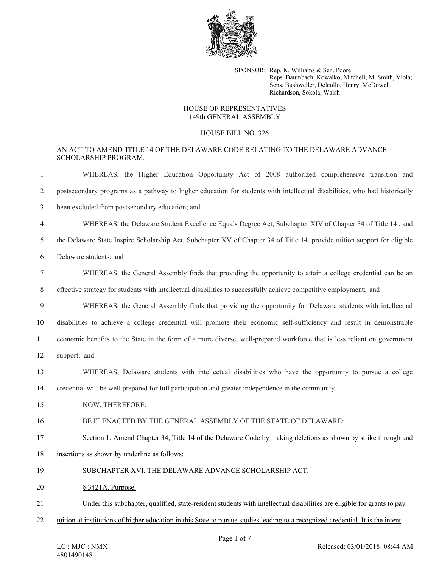

SPONSOR: Rep. K. Williams & Sen. Poore Reps. Baumbach, Kowalko, Mitchell, M. Smith, Viola; Sens. Bushweller, Delcollo, Henry, McDowell, Richardson, Sokola, Walsh

## HOUSE OF REPRESENTATIVES 149th GENERAL ASSEMBLY

## HOUSE BILL NO. 326

## AN ACT TO AMEND TITLE 14 OF THE DELAWARE CODE RELATING TO THE DELAWARE ADVANCE SCHOLARSHIP PROGRAM.

| -1             | WHEREAS, the Higher Education Opportunity Act of 2008 authorized comprehensive transition and                                    |
|----------------|----------------------------------------------------------------------------------------------------------------------------------|
| $\overline{2}$ | postsecondary programs as a pathway to higher education for students with intellectual disabilities, who had historically        |
| 3              | been excluded from postsecondary education; and                                                                                  |
| 4              | WHEREAS, the Delaware Student Excellence Equals Degree Act, Subchapter XIV of Chapter 34 of Title 14, and                        |
| 5              | the Delaware State Inspire Scholarship Act, Subchapter XV of Chapter 34 of Title 14, provide tuition support for eligible        |
| 6              | Delaware students; and                                                                                                           |
| $\tau$         | WHEREAS, the General Assembly finds that providing the opportunity to attain a college credential can be an                      |
| 8              | effective strategy for students with intellectual disabilities to successfully achieve competitive employment; and               |
| 9              | WHEREAS, the General Assembly finds that providing the opportunity for Delaware students with intellectual                       |
| 10             | disabilities to achieve a college credential will promote their economic self-sufficiency and result in demonstrable             |
| 11             | economic benefits to the State in the form of a more diverse, well-prepared workforce that is less reliant on government         |
| 12             | support; and                                                                                                                     |
| 13             | WHEREAS, Delaware students with intellectual disabilities who have the opportunity to pursue a college                           |
| 14             | credential will be well prepared for full participation and greater independence in the community.                               |
| 15             | NOW, THEREFORE:                                                                                                                  |
| 16             | BE IT ENACTED BY THE GENERAL ASSEMBLY OF THE STATE OF DELAWARE:                                                                  |
| 17             | Section 1. Amend Chapter 34, Title 14 of the Delaware Code by making deletions as shown by strike through and                    |
| 18             | insertions as shown by underline as follows:                                                                                     |
| 19             | SUBCHAPTER XVI. THE DELAWARE ADVANCE SCHOLARSHIP ACT.                                                                            |
| 20             | § 3421A. Purpose.                                                                                                                |
| 21             | Under this subchapter, qualified, state-resident students with intellectual disabilities are eligible for grants to pay          |
| 22             | tuition at institutions of higher education in this State to pursue studies leading to a recognized credential. It is the intent |
|                |                                                                                                                                  |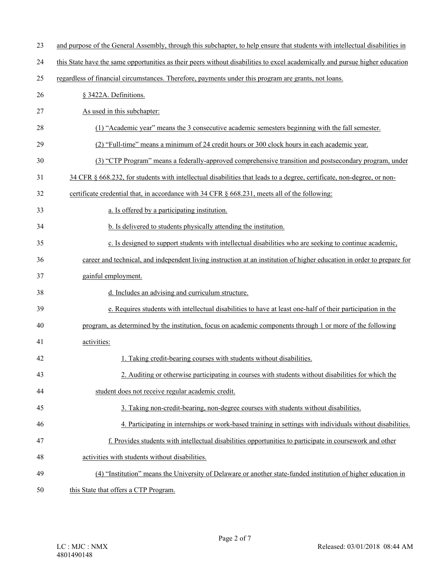| 23 | and purpose of the General Assembly, through this subchapter, to help ensure that students with intellectual disabilities in |
|----|------------------------------------------------------------------------------------------------------------------------------|
| 24 | this State have the same opportunities as their peers without disabilities to excel academically and pursue higher education |
| 25 | regardless of financial circumstances. Therefore, payments under this program are grants, not loans.                         |
| 26 | § 3422A. Definitions.                                                                                                        |
| 27 | As used in this subchapter:                                                                                                  |
| 28 | (1) "Academic year" means the 3 consecutive academic semesters beginning with the fall semester.                             |
| 29 | (2) "Full-time" means a minimum of 24 credit hours or 300 clock hours in each academic year.                                 |
| 30 | (3) "CTP Program" means a federally-approved comprehensive transition and postsecondary program, under                       |
| 31 | 34 CFR § 668.232, for students with intellectual disabilities that leads to a degree, certificate, non-degree, or non-       |
| 32 | certificate credential that, in accordance with 34 CFR § 668.231, meets all of the following:                                |
| 33 | a. Is offered by a participating institution.                                                                                |
| 34 | b. Is delivered to students physically attending the institution.                                                            |
| 35 | c. Is designed to support students with intellectual disabilities who are seeking to continue academic,                      |
| 36 | career and technical, and independent living instruction at an institution of higher education in order to prepare for       |
| 37 | gainful employment.                                                                                                          |
| 38 | d. Includes an advising and curriculum structure.                                                                            |
| 39 | e. Requires students with intellectual disabilities to have at least one-half of their participation in the                  |
| 40 | program, as determined by the institution, focus on academic components through 1 or more of the following                   |
| 41 | activities:                                                                                                                  |
| 42 | 1. Taking credit-bearing courses with students without disabilities.                                                         |
| 43 | 2. Auditing or otherwise participating in courses with students without disabilities for which the                           |
| 44 | student does not receive regular academic credit.                                                                            |
| 45 | 3. Taking non-credit-bearing, non-degree courses with students without disabilities.                                         |
| 46 | 4. Participating in internships or work-based training in settings with individuals without disabilities.                    |
| 47 | f. Provides students with intellectual disabilities opportunities to participate in coursework and other                     |
| 48 | activities with students without disabilities.                                                                               |
| 49 | (4) "Institution" means the University of Delaware or another state-funded institution of higher education in                |
| 50 | this State that offers a CTP Program.                                                                                        |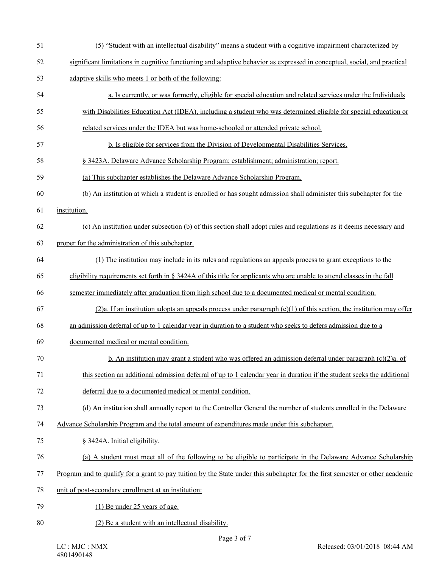| 51 | (5) "Student with an intellectual disability" means a student with a cognitive impairment characterized by                    |
|----|-------------------------------------------------------------------------------------------------------------------------------|
| 52 | significant limitations in cognitive functioning and adaptive behavior as expressed in conceptual, social, and practical      |
| 53 | adaptive skills who meets 1 or both of the following:                                                                         |
| 54 | a. Is currently, or was formerly, eligible for special education and related services under the Individuals                   |
| 55 | with Disabilities Education Act (IDEA), including a student who was determined eligible for special education or              |
| 56 | related services under the IDEA but was home-schooled or attended private school.                                             |
| 57 | b. Is eligible for services from the Division of Developmental Disabilities Services.                                         |
| 58 | § 3423A. Delaware Advance Scholarship Program; establishment; administration; report.                                         |
| 59 | (a) This subchapter establishes the Delaware Advance Scholarship Program.                                                     |
| 60 | (b) An institution at which a student is enrolled or has sought admission shall administer this subchapter for the            |
| 61 | institution.                                                                                                                  |
| 62 | (c) An institution under subsection (b) of this section shall adopt rules and regulations as it deems necessary and           |
| 63 | proper for the administration of this subchapter.                                                                             |
| 64 | (1) The institution may include in its rules and regulations an appeals process to grant exceptions to the                    |
| 65 | eligibility requirements set forth in § 3424A of this title for applicants who are unable to attend classes in the fall       |
| 66 | semester immediately after graduation from high school due to a documented medical or mental condition.                       |
| 67 | (2)a. If an institution adopts an appeals process under paragraph $(c)(1)$ of this section, the institution may offer         |
| 68 | an admission deferral of up to 1 calendar year in duration to a student who seeks to defers admission due to a                |
| 69 | documented medical or mental condition.                                                                                       |
| 70 | b. An institution may grant a student who was offered an admission deferral under paragraph $(c)(2)a$ . of                    |
| 71 | this section an additional admission deferral of up to 1 calendar year in duration if the student seeks the additional        |
| 72 | deferral due to a documented medical or mental condition.                                                                     |
| 73 | (d) An institution shall annually report to the Controller General the number of students enrolled in the Delaware            |
| 74 | Advance Scholarship Program and the total amount of expenditures made under this subchapter.                                  |
| 75 | § 3424A. Initial eligibility.                                                                                                 |
| 76 | (a) A student must meet all of the following to be eligible to participate in the Delaware Advance Scholarship                |
| 77 | Program and to qualify for a grant to pay tuition by the State under this subchapter for the first semester or other academic |
| 78 | unit of post-secondary enrollment at an institution:                                                                          |
| 79 | (1) Be under 25 years of age.                                                                                                 |
| 80 | (2) Be a student with an intellectual disability.                                                                             |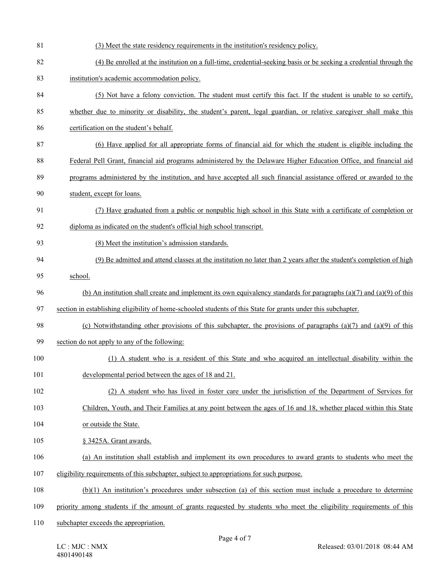| 81  | (3) Meet the state residency requirements in the institution's residency policy.                                         |
|-----|--------------------------------------------------------------------------------------------------------------------------|
| 82  | (4) Be enrolled at the institution on a full-time, credential-seeking basis or be seeking a credential through the       |
| 83  | institution's academic accommodation policy.                                                                             |
| 84  | (5) Not have a felony conviction. The student must certify this fact. If the student is unable to so certify,            |
| 85  | whether due to minority or disability, the student's parent, legal guardian, or relative caregiver shall make this       |
| 86  | certification on the student's behalf.                                                                                   |
| 87  | (6) Have applied for all appropriate forms of financial aid for which the student is eligible including the              |
| 88  | Federal Pell Grant, financial aid programs administered by the Delaware Higher Education Office, and financial aid       |
| 89  | programs administered by the institution, and have accepted all such financial assistance offered or awarded to the      |
| 90  | student, except for loans.                                                                                               |
| 91  | (7) Have graduated from a public or nonpublic high school in this State with a certificate of completion or              |
| 92  | diploma as indicated on the student's official high school transcript.                                                   |
| 93  | (8) Meet the institution's admission standards.                                                                          |
| 94  | (9) Be admitted and attend classes at the institution no later than 2 years after the student's completion of high       |
| 95  | school.                                                                                                                  |
| 96  | (b) An institution shall create and implement its own equivalency standards for paragraphs $(a)(7)$ and $(a)(9)$ of this |
| 97  | section in establishing eligibility of home-schooled students of this State for grants under this subchapter.            |
| 98  | (c) Notwithstanding other provisions of this subchapter, the provisions of paragraphs (a)(7) and (a)(9) of this          |
| 99  | section do not apply to any of the following:                                                                            |
| 100 | (1) A student who is a resident of this State and who acquired an intellectual disability within the                     |
| 101 | developmental period between the ages of 18 and 21.                                                                      |
| 102 | (2) A student who has lived in foster care under the jurisdiction of the Department of Services for                      |
| 103 | Children, Youth, and Their Families at any point between the ages of 16 and 18, whether placed within this State         |
| 104 | or outside the State.                                                                                                    |
| 105 | § 3425A. Grant awards.                                                                                                   |
| 106 | (a) An institution shall establish and implement its own procedures to award grants to students who meet the             |
| 107 | eligibility requirements of this subchapter, subject to appropriations for such purpose.                                 |
| 108 | $(b)(1)$ An institution's procedures under subsection (a) of this section must include a procedure to determine          |
| 109 | priority among students if the amount of grants requested by students who meet the eligibility requirements of this      |
| 110 | subchapter exceeds the appropriation.                                                                                    |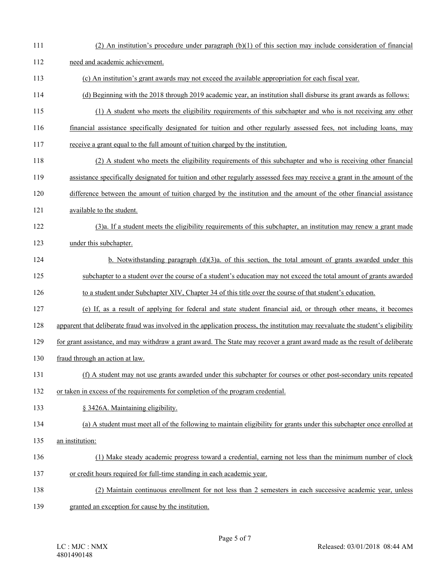111 (2) An institution's procedure under paragraph (b)(1) of this section may include consideration of financial 112 need and academic achievement. 113 (c) An institution's grant awards may not exceed the available appropriation for each fiscal year. 114 (d) Beginning with the 2018 through 2019 academic year, an institution shall disburse its grant awards as follows: 115 (1) A student who meets the eligibility requirements of this subchapter and who is not receiving any other 116 financial assistance specifically designated for tuition and other regularly assessed fees, not including loans, may 117 receive a grant equal to the full amount of tuition charged by the institution. 118 (2) A student who meets the eligibility requirements of this subchapter and who is receiving other financial 119 assistance specifically designated for tuition and other regularly assessed fees may receive a grant in the amount of the 120 difference between the amount of tuition charged by the institution and the amount of the other financial assistance 121 available to the student. 122 (3)a. If a student meets the eligibility requirements of this subchapter, an institution may renew a grant made 123 under this subchapter. 124 b. Notwithstanding paragraph (d)(3)a. of this section, the total amount of grants awarded under this 125 subchapter to a student over the course of a student's education may not exceed the total amount of grants awarded 126 to a student under Subchapter XIV, Chapter 34 of this title over the course of that student's education. 127 (e) If, as a result of applying for federal and state student financial aid, or through other means, it becomes 128 apparent that deliberate fraud was involved in the application process, the institution may reevaluate the student's eligibility 129 for grant assistance, and may withdraw a grant award. The State may recover a grant award made as the result of deliberate 130 fraud through an action at law. 131 (f) A student may not use grants awarded under this subchapter for courses or other post-secondary units repeated 132 or taken in excess of the requirements for completion of the program credential. 133 § 3426A. Maintaining eligibility. 134 (a) A student must meet all of the following to maintain eligibility for grants under this subchapter once enrolled at 135 an institution: 136 (1) Make steady academic progress toward a credential, earning not less than the minimum number of clock 137 or credit hours required for full-time standing in each academic year. 138 (2) Maintain continuous enrollment for not less than 2 semesters in each successive academic year, unless 139 granted an exception for cause by the institution.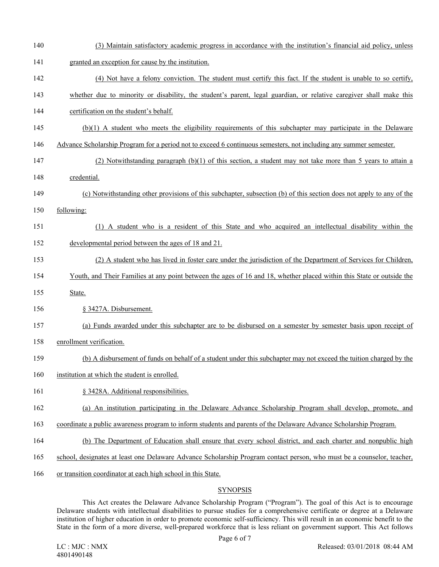140 (3) Maintain satisfactory academic progress in accordance with the institution's financial aid policy, unless 141 granted an exception for cause by the institution. 142 (4) Not have a felony conviction. The student must certify this fact. If the student is unable to so certify, 143 whether due to minority or disability, the student's parent, legal guardian, or relative caregiver shall make this 144 certification on the student's behalf. 145 (b)(1) A student who meets the eligibility requirements of this subchapter may participate in the Delaware 146 Advance Scholarship Program for a period not to exceed 6 continuous semesters, not including any summer semester. 147 (2) Notwithstanding paragraph (b)(1) of this section, a student may not take more than 5 years to attain a 148 credential. 149 (c) Notwithstanding other provisions of this subchapter, subsection (b) of this section does not apply to any of the 150 following: 151 (1) A student who is a resident of this State and who acquired an intellectual disability within the 152 developmental period between the ages of 18 and 21. 153 (2) A student who has lived in foster care under the jurisdiction of the Department of Services for Children, 154 Youth, and Their Families at any point between the ages of 16 and 18, whether placed within this State or outside the 155 State. 156 § 3427A. Disbursement. 157 (a) Funds awarded under this subchapter are to be disbursed on a semester by semester basis upon receipt of 158 enrollment verification. 159 (b) A disbursement of funds on behalf of a student under this subchapter may not exceed the tuition charged by the 160 institution at which the student is enrolled. 161 § 3428A. Additional responsibilities. 162 (a) An institution participating in the Delaware Advance Scholarship Program shall develop, promote, and 163 coordinate a public awareness program to inform students and parents of the Delaware Advance Scholarship Program. 164 (b) The Department of Education shall ensure that every school district, and each charter and nonpublic high 165 school, designates at least one Delaware Advance Scholarship Program contact person, who must be a counselor, teacher, 166 or transition coordinator at each high school in this State.

## **SYNOPSIS**

This Act creates the Delaware Advance Scholarship Program ("Program"). The goal of this Act is to encourage Delaware students with intellectual disabilities to pursue studies for a comprehensive certificate or degree at a Delaware institution of higher education in order to promote economic self-sufficiency. This will result in an economic benefit to the State in the form of a more diverse, well-prepared workforce that is less reliant on government support. This Act follows